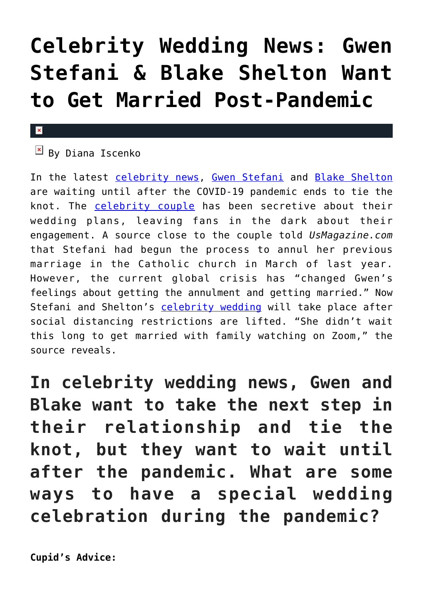## **[Celebrity Wedding News: Gwen](https://cupidspulse.com/134903/celebrity-wedding-news-gwen-stefani-blake-shelton-marriage-post-pandemic/) [Stefani & Blake Shelton Want](https://cupidspulse.com/134903/celebrity-wedding-news-gwen-stefani-blake-shelton-marriage-post-pandemic/) [to Get Married Post-Pandemic](https://cupidspulse.com/134903/celebrity-wedding-news-gwen-stefani-blake-shelton-marriage-post-pandemic/)**

## $\mathbf x$

## $B$  By Diana Iscenko

In the latest [celebrity news,](http://cupidspulse.com/celebrity-news/) [Gwen Stefani](http://cupidspulse.com/109118/gwen-stefani/) and [Blake Shelton](http://cupidspulse.com/109116/blake-shelton/) are waiting until after the COVID-19 pandemic ends to tie the knot. The [celebrity couple](http://cupidspulse.com/celebrity-news/celebrity-dating/) has been secretive about their wedding plans, leaving fans in the dark about their engagement. A source close to the couple told *UsMagazine.com* that Stefani had begun the process to annul her previous marriage in the Catholic church in March of last year. However, the current global crisis has "changed Gwen's feelings about getting the annulment and getting married." Now Stefani and Shelton's [celebrity wedding](http://cupidspulse.com/celebrity-news/celebrity-weddings/) will take place after social distancing restrictions are lifted. "She didn't wait this long to get married with family watching on Zoom," the source reveals.

**In celebrity wedding news, Gwen and Blake want to take the next step in their relationship and tie the knot, but they want to wait until after the pandemic. What are some ways to have a special wedding celebration during the pandemic?**